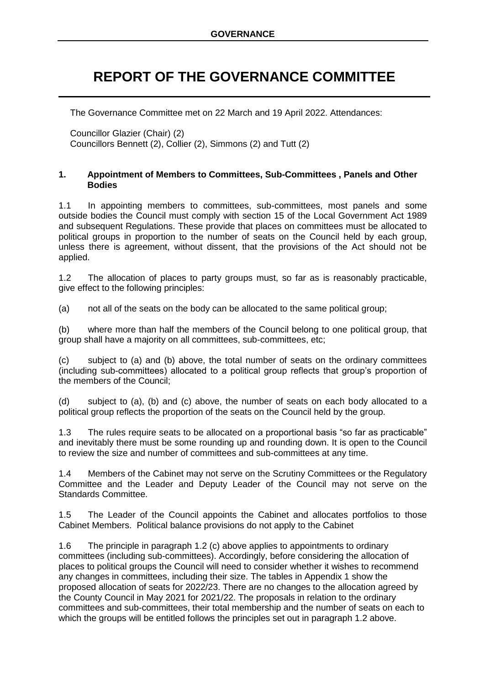# **REPORT OF THE GOVERNANCE COMMITTEE**

The Governance Committee met on 22 March and 19 April 2022. Attendances:

Councillor Glazier (Chair) (2) Councillors Bennett (2), Collier (2), Simmons (2) and Tutt (2)

#### **1. Appointment of Members to Committees, Sub-Committees , Panels and Other Bodies**

1.1 In appointing members to committees, sub-committees, most panels and some outside bodies the Council must comply with section 15 of the Local Government Act 1989 and subsequent Regulations. These provide that places on committees must be allocated to political groups in proportion to the number of seats on the Council held by each group, unless there is agreement, without dissent, that the provisions of the Act should not be applied.

1.2 The allocation of places to party groups must, so far as is reasonably practicable, give effect to the following principles:

(a) not all of the seats on the body can be allocated to the same political group;

(b) where more than half the members of the Council belong to one political group, that group shall have a majority on all committees, sub-committees, etc;

(c) subject to (a) and (b) above, the total number of seats on the ordinary committees (including sub-committees) allocated to a political group reflects that group's proportion of the members of the Council;

(d) subject to (a), (b) and (c) above, the number of seats on each body allocated to a political group reflects the proportion of the seats on the Council held by the group.

1.3 The rules require seats to be allocated on a proportional basis "so far as practicable" and inevitably there must be some rounding up and rounding down. It is open to the Council to review the size and number of committees and sub-committees at any time.

1.4 Members of the Cabinet may not serve on the Scrutiny Committees or the Regulatory Committee and the Leader and Deputy Leader of the Council may not serve on the Standards Committee.

1.5 The Leader of the Council appoints the Cabinet and allocates portfolios to those Cabinet Members. Political balance provisions do not apply to the Cabinet

1.6 The principle in paragraph 1.2 (c) above applies to appointments to ordinary committees (including sub-committees). Accordingly, before considering the allocation of places to political groups the Council will need to consider whether it wishes to recommend any changes in committees, including their size. The tables in Appendix 1 show the proposed allocation of seats for 2022/23. There are no changes to the allocation agreed by the County Council in May 2021 for 2021/22. The proposals in relation to the ordinary committees and sub-committees, their total membership and the number of seats on each to which the groups will be entitled follows the principles set out in paragraph 1.2 above.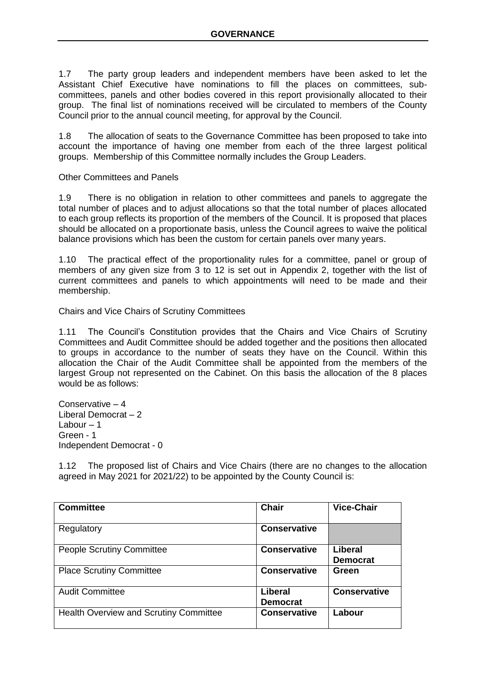1.7 The party group leaders and independent members have been asked to let the Assistant Chief Executive have nominations to fill the places on committees, subcommittees, panels and other bodies covered in this report provisionally allocated to their group. The final list of nominations received will be circulated to members of the County Council prior to the annual council meeting, for approval by the Council.

1.8 The allocation of seats to the Governance Committee has been proposed to take into account the importance of having one member from each of the three largest political groups. Membership of this Committee normally includes the Group Leaders.

Other Committees and Panels

1.9 There is no obligation in relation to other committees and panels to aggregate the total number of places and to adjust allocations so that the total number of places allocated to each group reflects its proportion of the members of the Council. It is proposed that places should be allocated on a proportionate basis, unless the Council agrees to waive the political balance provisions which has been the custom for certain panels over many years.

1.10 The practical effect of the proportionality rules for a committee, panel or group of members of any given size from 3 to 12 is set out in Appendix 2, together with the list of current committees and panels to which appointments will need to be made and their membership.

Chairs and Vice Chairs of Scrutiny Committees

1.11 The Council's Constitution provides that the Chairs and Vice Chairs of Scrutiny Committees and Audit Committee should be added together and the positions then allocated to groups in accordance to the number of seats they have on the Council. Within this allocation the Chair of the Audit Committee shall be appointed from the members of the largest Group not represented on the Cabinet. On this basis the allocation of the 8 places would be as follows:

Conservative – 4 Liberal Democrat – 2 Labour  $-1$ Green - 1 Independent Democrat - 0

1.12 The proposed list of Chairs and Vice Chairs (there are no changes to the allocation agreed in May 2021 for 2021/22) to be appointed by the County Council is:

| <b>Committee</b>                       | <b>Chair</b>                      | <b>Vice-Chair</b>          |
|----------------------------------------|-----------------------------------|----------------------------|
| Regulatory                             | <b>Conservative</b>               |                            |
| <b>People Scrutiny Committee</b>       | <b>Conservative</b>               | Liberal<br><b>Democrat</b> |
| <b>Place Scrutiny Committee</b>        | <b>Conservative</b>               | Green                      |
| <b>Audit Committee</b>                 | <b>Liberal</b><br><b>Democrat</b> | <b>Conservative</b>        |
| Health Overview and Scrutiny Committee | <b>Conservative</b>               | Labour                     |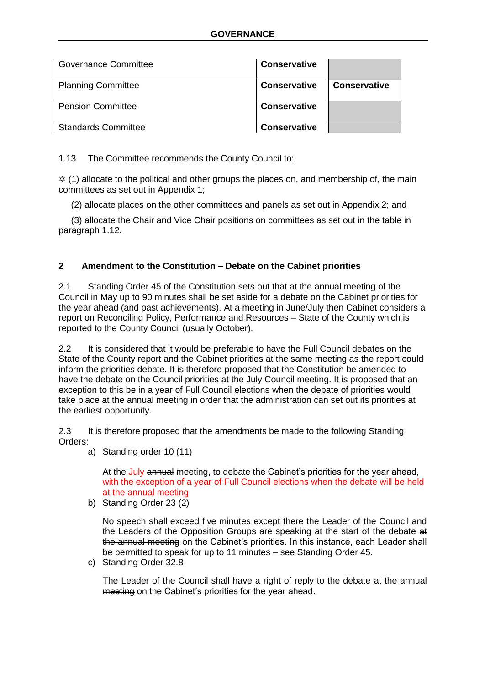| <b>Governance Committee</b> | <b>Conservative</b> |                     |
|-----------------------------|---------------------|---------------------|
| <b>Planning Committee</b>   | <b>Conservative</b> | <b>Conservative</b> |
| <b>Pension Committee</b>    | <b>Conservative</b> |                     |
| <b>Standards Committee</b>  | <b>Conservative</b> |                     |

1.13 The Committee recommends the County Council to:

 $\dot{\varphi}$  (1) allocate to the political and other groups the places on, and membership of, the main committees as set out in Appendix 1;

(2) allocate places on the other committees and panels as set out in Appendix 2; and

 (3) allocate the Chair and Vice Chair positions on committees as set out in the table in paragraph 1.12.

# **2 Amendment to the Constitution – Debate on the Cabinet priorities**

2.1 Standing Order 45 of the Constitution sets out that at the annual meeting of the Council in May up to 90 minutes shall be set aside for a debate on the Cabinet priorities for the year ahead (and past achievements). At a meeting in June/July then Cabinet considers a report on Reconciling Policy, Performance and Resources – State of the County which is reported to the County Council (usually October).

2.2 It is considered that it would be preferable to have the Full Council debates on the State of the County report and the Cabinet priorities at the same meeting as the report could inform the priorities debate. It is therefore proposed that the Constitution be amended to have the debate on the Council priorities at the July Council meeting. It is proposed that an exception to this be in a year of Full Council elections when the debate of priorities would take place at the annual meeting in order that the administration can set out its priorities at the earliest opportunity.

2.3 It is therefore proposed that the amendments be made to the following Standing Orders:

a) Standing order 10 (11)

At the July annual meeting, to debate the Cabinet's priorities for the year ahead, with the exception of a year of Full Council elections when the debate will be held at the annual meeting

b) Standing Order 23 (2)

No speech shall exceed five minutes except there the Leader of the Council and the Leaders of the Opposition Groups are speaking at the start of the debate at the annual meeting on the Cabinet's priorities. In this instance, each Leader shall be permitted to speak for up to 11 minutes – see Standing Order 45.

c) Standing Order 32.8

The Leader of the Council shall have a right of reply to the debate at the annual meeting on the Cabinet's priorities for the year ahead.